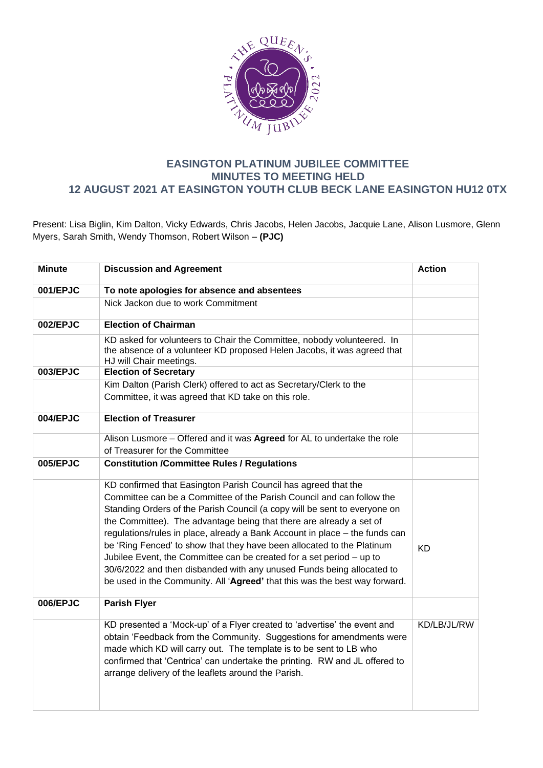

## **EASINGTON PLATINUM JUBILEE COMMITTEE MINUTES TO MEETING HELD 12 AUGUST 2021 AT EASINGTON YOUTH CLUB BECK LANE EASINGTON HU12 0TX**

Present: Lisa Biglin, Kim Dalton, Vicky Edwards, Chris Jacobs, Helen Jacobs, Jacquie Lane, Alison Lusmore, Glenn Myers, Sarah Smith, Wendy Thomson, Robert Wilson – **(PJC)**

| <b>Minute</b> | <b>Discussion and Agreement</b>                                                                                                                                                                                                                                                                                                                                                                                                                                                                                                                                                                                                                                                     | <b>Action</b> |
|---------------|-------------------------------------------------------------------------------------------------------------------------------------------------------------------------------------------------------------------------------------------------------------------------------------------------------------------------------------------------------------------------------------------------------------------------------------------------------------------------------------------------------------------------------------------------------------------------------------------------------------------------------------------------------------------------------------|---------------|
|               |                                                                                                                                                                                                                                                                                                                                                                                                                                                                                                                                                                                                                                                                                     |               |
| 001/EPJC      | To note apologies for absence and absentees                                                                                                                                                                                                                                                                                                                                                                                                                                                                                                                                                                                                                                         |               |
|               | Nick Jackon due to work Commitment                                                                                                                                                                                                                                                                                                                                                                                                                                                                                                                                                                                                                                                  |               |
| 002/EPJC      | <b>Election of Chairman</b>                                                                                                                                                                                                                                                                                                                                                                                                                                                                                                                                                                                                                                                         |               |
|               | KD asked for volunteers to Chair the Committee, nobody volunteered. In<br>the absence of a volunteer KD proposed Helen Jacobs, it was agreed that<br>HJ will Chair meetings.                                                                                                                                                                                                                                                                                                                                                                                                                                                                                                        |               |
| 003/EPJC      | <b>Election of Secretary</b>                                                                                                                                                                                                                                                                                                                                                                                                                                                                                                                                                                                                                                                        |               |
|               | Kim Dalton (Parish Clerk) offered to act as Secretary/Clerk to the                                                                                                                                                                                                                                                                                                                                                                                                                                                                                                                                                                                                                  |               |
|               | Committee, it was agreed that KD take on this role.                                                                                                                                                                                                                                                                                                                                                                                                                                                                                                                                                                                                                                 |               |
| 004/EPJC      | <b>Election of Treasurer</b>                                                                                                                                                                                                                                                                                                                                                                                                                                                                                                                                                                                                                                                        |               |
|               | Alison Lusmore - Offered and it was Agreed for AL to undertake the role                                                                                                                                                                                                                                                                                                                                                                                                                                                                                                                                                                                                             |               |
|               | of Treasurer for the Committee                                                                                                                                                                                                                                                                                                                                                                                                                                                                                                                                                                                                                                                      |               |
| 005/EPJC      | <b>Constitution /Committee Rules / Regulations</b>                                                                                                                                                                                                                                                                                                                                                                                                                                                                                                                                                                                                                                  |               |
|               | KD confirmed that Easington Parish Council has agreed that the<br>Committee can be a Committee of the Parish Council and can follow the<br>Standing Orders of the Parish Council (a copy will be sent to everyone on<br>the Committee). The advantage being that there are already a set of<br>regulations/rules in place, already a Bank Account in place - the funds can<br>be 'Ring Fenced' to show that they have been allocated to the Platinum<br>Jubilee Event, the Committee can be created for a set period - up to<br>30/6/2022 and then disbanded with any unused Funds being allocated to<br>be used in the Community. All 'Agreed' that this was the best way forward. | <b>KD</b>     |
| 006/EPJC      | <b>Parish Flyer</b>                                                                                                                                                                                                                                                                                                                                                                                                                                                                                                                                                                                                                                                                 |               |
|               | KD presented a 'Mock-up' of a Flyer created to 'advertise' the event and<br>obtain 'Feedback from the Community. Suggestions for amendments were<br>made which KD will carry out. The template is to be sent to LB who<br>confirmed that 'Centrica' can undertake the printing. RW and JL offered to<br>arrange delivery of the leaflets around the Parish.                                                                                                                                                                                                                                                                                                                         | KD/LB/JL/RW   |